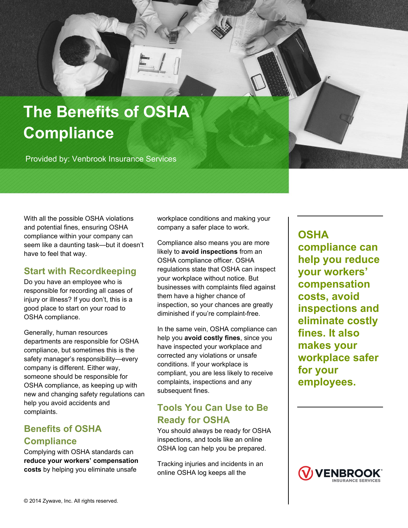

Provided by: Venbrook Insurance Services

With all the possible OSHA violations and potential fines, ensuring OSHA compliance within your company can seem like a daunting task—but it doesn't have to feel that way.

## **Start with Recordkeeping**

Do you have an employee who is responsible for recording all cases of injury or illness? If you don't, this is a good place to start on your road to OSHA compliance.

Generally, human resources departments are responsible for OSHA compliance, but sometimes this is the safety manager's responsibility—every company is different. Either way, someone should be responsible for OSHA compliance, as keeping up with new and changing safety regulations can help you avoid accidents and complaints.

## **Benefits of OSHA Compliance**

Complying with OSHA standards can **reduce your workers' compensation costs** by helping you eliminate unsafe

workplace conditions and making your company a safer place to work.

Compliance also means you are more likely to **avoid inspections** from an OSHA compliance officer. OSHA regulations state that OSHA can inspect your workplace without notice. But businesses with complaints filed against them have a higher chance of inspection, so your chances are greatly diminished if you're complaint-free.

In the same vein, OSHA compliance can help you **avoid costly fines**, since you have inspected your workplace and corrected any violations or unsafe conditions. If your workplace is compliant, you are less likely to receive complaints, inspections and any subsequent fines.

## **Tools You Can Use to Be Ready for OSHA**

You should always be ready for OSHA inspections, and tools like an online OSHA log can help you be prepared.

Tracking injuries and incidents in an online OSHA log keeps all the

**OSHA compliance can help you reduce your workers' compensation costs, avoid inspections and eliminate costly fines. It also makes your workplace safer for your employees.**